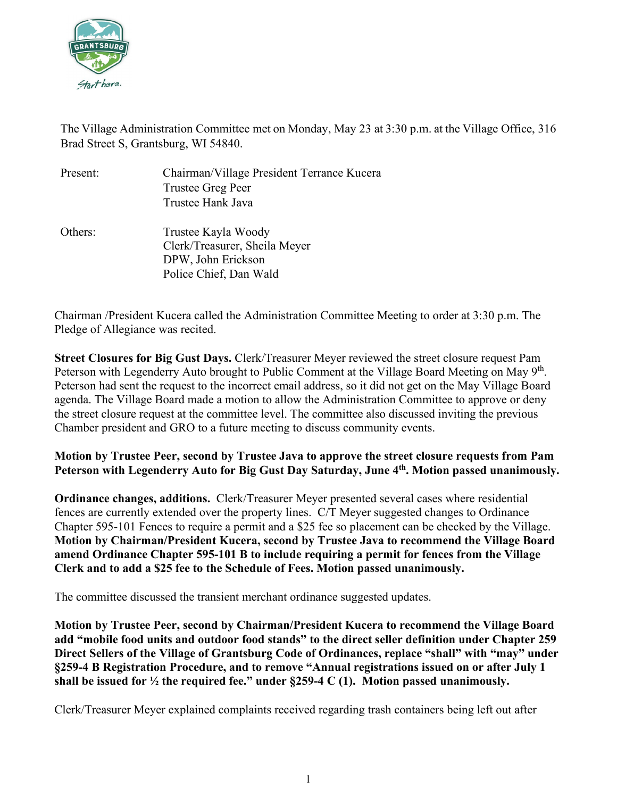

The Village Administration Committee met on Monday, May 23 at 3:30 p.m. at the Village Office, 316 Brad Street S, Grantsburg, WI 54840.

| Present: | Chairman/Village President Terrance Kucera |
|----------|--------------------------------------------|
|          | Trustee Greg Peer                          |
|          | Trustee Hank Java                          |
| Others:  | Trustee Kayla Woody                        |
|          | Clerk/Treasurer, Sheila Meyer              |
|          | DPW, John Erickson                         |
|          | Police Chief, Dan Wald                     |

Chairman /President Kucera called the Administration Committee Meeting to order at 3:30 p.m. The Pledge of Allegiance was recited.

**Street Closures for Big Gust Days.** Clerk/Treasurer Meyer reviewed the street closure request Pam Peterson with Legenderry Auto brought to Public Comment at the Village Board Meeting on May 9<sup>th</sup>. Peterson had sent the request to the incorrect email address, so it did not get on the May Village Board agenda. The Village Board made a motion to allow the Administration Committee to approve or deny the street closure request at the committee level. The committee also discussed inviting the previous Chamber president and GRO to a future meeting to discuss community events.

## **Motion by Trustee Peer, second by Trustee Java to approve the street closure requests from Pam**  Peterson with Legenderry Auto for Big Gust Day Saturday, June 4<sup>th</sup>. Motion passed unanimously.

**Ordinance changes, additions.** Clerk/Treasurer Meyer presented several cases where residential fences are currently extended over the property lines. C/T Meyer suggested changes to Ordinance Chapter 595-101 Fences to require a permit and a \$25 fee so placement can be checked by the Village. **Motion by Chairman/President Kucera, second by Trustee Java to recommend the Village Board amend Ordinance Chapter 595-101 B to include requiring a permit for fences from the Village Clerk and to add a \$25 fee to the Schedule of Fees. Motion passed unanimously.**

The committee discussed the transient merchant ordinance suggested updates.

**Motion by Trustee Peer, second by Chairman/President Kucera to recommend the Village Board add "mobile food units and outdoor food stands" to the direct seller definition under Chapter 259 Direct Sellers of the Village of Grantsburg Code of Ordinances, replace "shall" with "may" under §259-4 B Registration Procedure, and to remove "Annual registrations issued on or after July 1 shall be issued for ½ the required fee." under §259-4 C (1). Motion passed unanimously.**

Clerk/Treasurer Meyer explained complaints received regarding trash containers being left out after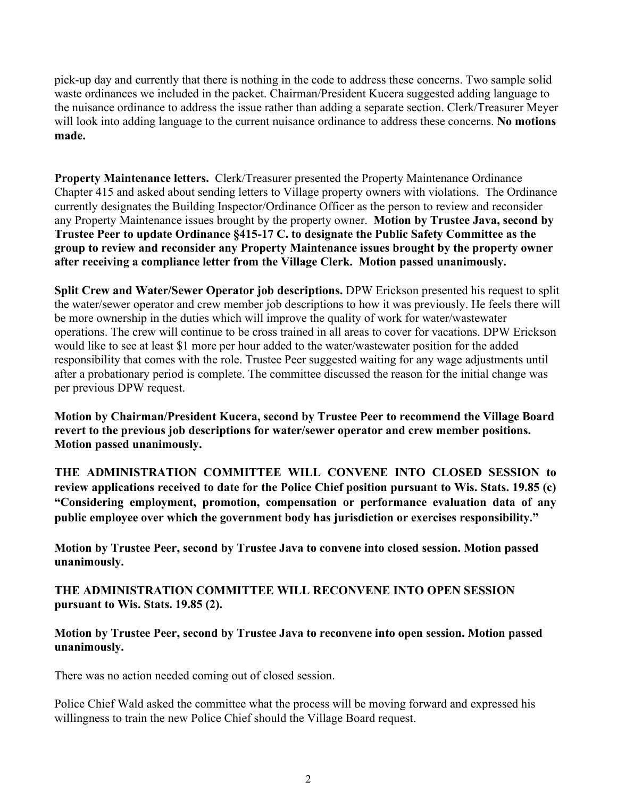pick-up day and currently that there is nothing in the code to address these concerns. Two sample solid waste ordinances we included in the packet. Chairman/President Kucera suggested adding language to the nuisance ordinance to address the issue rather than adding a separate section. Clerk/Treasurer Meyer will look into adding language to the current nuisance ordinance to address these concerns. **No motions made.**

**Property Maintenance letters.** Clerk/Treasurer presented the Property Maintenance Ordinance Chapter 415 and asked about sending letters to Village property owners with violations. The Ordinance currently designates the Building Inspector/Ordinance Officer as the person to review and reconsider any Property Maintenance issues brought by the property owner. **Motion by Trustee Java, second by Trustee Peer to update Ordinance §415-17 C. to designate the Public Safety Committee as the group to review and reconsider any Property Maintenance issues brought by the property owner after receiving a compliance letter from the Village Clerk. Motion passed unanimously.**

**Split Crew and Water/Sewer Operator job descriptions.** DPW Erickson presented his request to split the water/sewer operator and crew member job descriptions to how it was previously. He feels there will be more ownership in the duties which will improve the quality of work for water/wastewater operations. The crew will continue to be cross trained in all areas to cover for vacations. DPW Erickson would like to see at least \$1 more per hour added to the water/wastewater position for the added responsibility that comes with the role. Trustee Peer suggested waiting for any wage adjustments until after a probationary period is complete. The committee discussed the reason for the initial change was per previous DPW request.

**Motion by Chairman/President Kucera, second by Trustee Peer to recommend the Village Board revert to the previous job descriptions for water/sewer operator and crew member positions. Motion passed unanimously.** 

**THE ADMINISTRATION COMMITTEE WILL CONVENE INTO CLOSED SESSION to review applications received to date for the Police Chief position pursuant to Wis. Stats. 19.85 (c) "Considering employment, promotion, compensation or performance evaluation data of any public employee over which the government body has jurisdiction or exercises responsibility."**

**Motion by Trustee Peer, second by Trustee Java to convene into closed session. Motion passed unanimously.**

**THE ADMINISTRATION COMMITTEE WILL RECONVENE INTO OPEN SESSION pursuant to Wis. Stats. 19.85 (2).**

**Motion by Trustee Peer, second by Trustee Java to reconvene into open session. Motion passed unanimously.**

There was no action needed coming out of closed session.

Police Chief Wald asked the committee what the process will be moving forward and expressed his willingness to train the new Police Chief should the Village Board request.